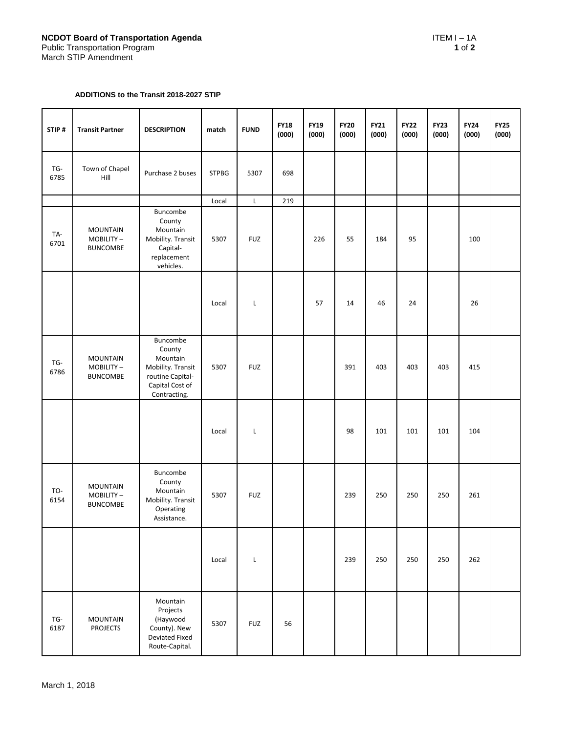## **ADDITIONS to the Transit 2018-2027 STIP**

| STIP#       | <b>Transit Partner</b>                          | <b>DESCRIPTION</b>                                                                                         | match        | <b>FUND</b> | <b>FY18</b><br>(000) | <b>FY19</b><br>(000) | <b>FY20</b><br>(000) | <b>FY21</b><br>(000) | <b>FY22</b><br>(000) | <b>FY23</b><br>(000) | <b>FY24</b><br>(000) | <b>FY25</b><br>(000) |
|-------------|-------------------------------------------------|------------------------------------------------------------------------------------------------------------|--------------|-------------|----------------------|----------------------|----------------------|----------------------|----------------------|----------------------|----------------------|----------------------|
| TG-<br>6785 | Town of Chapel<br>Hill                          | Purchase 2 buses                                                                                           | <b>STPBG</b> | 5307        | 698                  |                      |                      |                      |                      |                      |                      |                      |
|             |                                                 |                                                                                                            | Local        | L           | 219                  |                      |                      |                      |                      |                      |                      |                      |
| TA-<br>6701 | <b>MOUNTAIN</b><br>MOBILITY-<br><b>BUNCOMBE</b> | Buncombe<br>County<br>Mountain<br>Mobility. Transit<br>Capital-<br>replacement<br>vehicles.                | 5307         | <b>FUZ</b>  |                      | 226                  | 55                   | 184                  | 95                   |                      | 100                  |                      |
|             |                                                 |                                                                                                            | Local        | Г           |                      | 57                   | 14                   | 46                   | 24                   |                      | 26                   |                      |
| TG-<br>6786 | <b>MOUNTAIN</b><br>MOBILITY-<br><b>BUNCOMBE</b> | Buncombe<br>County<br>Mountain<br>Mobility. Transit<br>routine Capital-<br>Capital Cost of<br>Contracting. | 5307         | <b>FUZ</b>  |                      |                      | 391                  | 403                  | 403                  | 403                  | 415                  |                      |
|             |                                                 |                                                                                                            | Local        | L           |                      |                      | 98                   | 101                  | 101                  | 101                  | 104                  |                      |
| TO-<br>6154 | <b>MOUNTAIN</b><br>MOBILITY-<br><b>BUNCOMBE</b> | Buncombe<br>County<br>Mountain<br>Mobility. Transit<br>Operating<br>Assistance.                            | 5307         | <b>FUZ</b>  |                      |                      | 239                  | 250                  | 250                  | 250                  | 261                  |                      |
|             |                                                 |                                                                                                            | Local        | L           |                      |                      | 239                  | 250                  | 250                  | 250                  | 262                  |                      |
| TG-<br>6187 | <b>MOUNTAIN</b><br><b>PROJECTS</b>              | Mountain<br>Projects<br>(Haywood<br>County). New<br>Deviated Fixed<br>Route-Capital.                       | 5307         | <b>FUZ</b>  | 56                   |                      |                      |                      |                      |                      |                      |                      |